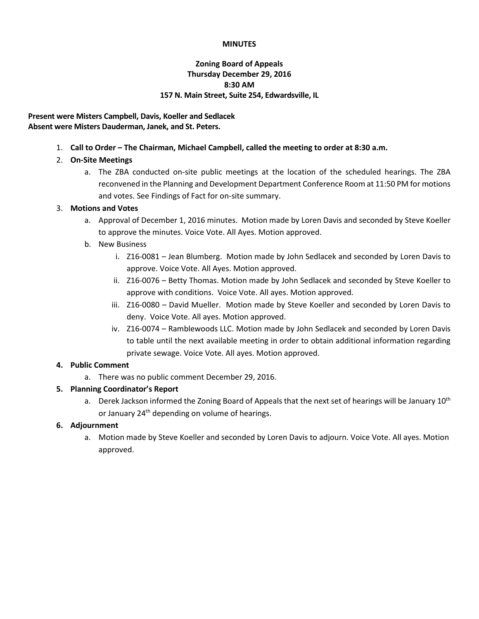#### **MINUTES**

# **Zoning Board of Appeals Thursday December 29, 2016 8:30 AM 157 N. Main Street, Suite 254, Edwardsville, IL**

### **Present were Misters Campbell, Davis, Koeller and Sedlacek Absent were Misters Dauderman, Janek, and St. Peters.**

1. **Call to Order – The Chairman, Michael Campbell, called the meeting to order at 8:30 a.m.**

# 2. **On-Site Meetings**

a. The ZBA conducted on-site public meetings at the location of the scheduled hearings. The ZBA reconvened in the Planning and Development Department Conference Room at 11:50 PM for motions and votes. See Findings of Fact for on-site summary.

### 3. **Motions and Votes**

- a. Approval of December 1, 2016 minutes. Motion made by Loren Davis and seconded by Steve Koeller to approve the minutes. Voice Vote. All Ayes. Motion approved.
- b. New Business
	- i. Z16-0081 Jean Blumberg. Motion made by John Sedlacek and seconded by Loren Davis to approve. Voice Vote. All Ayes. Motion approved.
	- ii. Z16-0076 Betty Thomas. Motion made by John Sedlacek and seconded by Steve Koeller to approve with conditions. Voice Vote. All ayes. Motion approved.
	- iii. Z16-0080 David Mueller. Motion made by Steve Koeller and seconded by Loren Davis to deny. Voice Vote. All ayes. Motion approved.
	- iv. Z16-0074 Ramblewoods LLC. Motion made by John Sedlacek and seconded by Loren Davis to table until the next available meeting in order to obtain additional information regarding private sewage. Voice Vote. All ayes. Motion approved.

# **4. Public Comment**

a. There was no public comment December 29, 2016.

# **5. Planning Coordinator's Report**

a. Derek Jackson informed the Zoning Board of Appeals that the next set of hearings will be January 10<sup>th</sup> or January  $24<sup>th</sup>$  depending on volume of hearings.

# **6. Adjournment**

a. Motion made by Steve Koeller and seconded by Loren Davis to adjourn. Voice Vote. All ayes. Motion approved.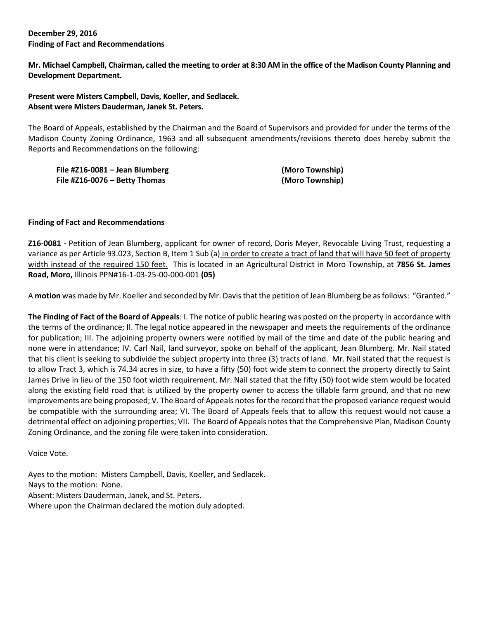#### **December 29, 2016 Finding of Fact and Recommendations**

**Mr. Michael Campbell, Chairman, called the meeting to order at 8:30 AM in the office of the Madison County Planning and Development Department.**

### **Present were Misters Campbell, Davis, Koeller, and Sedlacek. Absent were Misters Dauderman, Janek St. Peters.**

The Board of Appeals, established by the Chairman and the Board of Supervisors and provided for under the terms of the Madison County Zoning Ordinance, 1963 and all subsequent amendments/revisions thereto does hereby submit the Reports and Recommendations on the following:

**File #Z16-0081 – Jean Blumberg (Moro Township) File #Z16-0076 – Betty Thomas (Moro Township)**

#### **Finding of Fact and Recommendations**

**Z16-0081 -** Petition of Jean Blumberg, applicant for owner of record, Doris Meyer, Revocable Living Trust, requesting a variance as per Article 93.023, Section B, Item 1 Sub (a) in order to create a tract of land that will have 50 feet of property width instead of the required 150 feet. This is located in an Agricultural District in Moro Township, at **7856 St. James Road, Moro,** Illinois PPN#16-1-03-25-00-000-001 **(05)**

A **motion** was made by Mr. Koeller and seconded by Mr. Davisthat the petition of Jean Blumberg be as follows: "Granted."

**The Finding of Fact of the Board of Appeals**: I. The notice of public hearing was posted on the property in accordance with the terms of the ordinance; II. The legal notice appeared in the newspaper and meets the requirements of the ordinance for publication; III. The adjoining property owners were notified by mail of the time and date of the public hearing and none were in attendance; IV. Carl Nail, land surveyor, spoke on behalf of the applicant, Jean Blumberg. Mr. Nail stated that his client is seeking to subdivide the subject property into three (3) tracts of land. Mr. Nail stated that the request is to allow Tract 3, which is 74.34 acres in size, to have a fifty (50) foot wide stem to connect the property directly to Saint James Drive in lieu of the 150 foot width requirement. Mr. Nail stated that the fifty (50) foot wide stem would be located along the existing field road that is utilized by the property owner to access the tillable farm ground, and that no new improvements are being proposed; V. The Board of Appeals notes for the record that the proposed variance request would be compatible with the surrounding area; VI. The Board of Appeals feels that to allow this request would not cause a detrimental effect on adjoining properties; VII. The Board of Appeals notes that the Comprehensive Plan, Madison County Zoning Ordinance, and the zoning file were taken into consideration.

Voice Vote.

Ayes to the motion: Misters Campbell, Davis, Koeller, and Sedlacek. Nays to the motion: None. Absent: Misters Dauderman, Janek, and St. Peters. Where upon the Chairman declared the motion duly adopted.